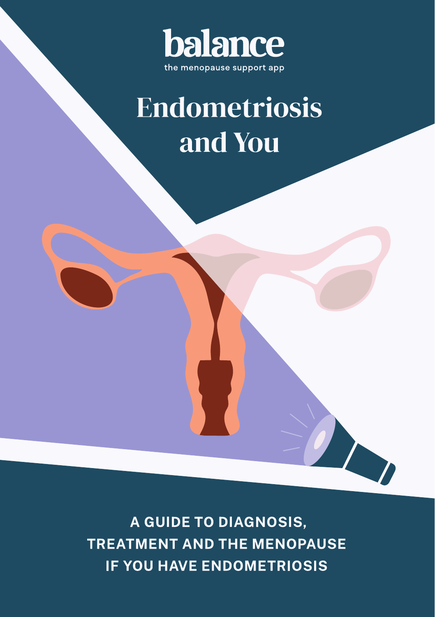

# **Endometriosis** and You

A GUIDE TO DIAGNOSIS, **TREATMENT AND THE MENOPAUSE IF YOU HAVE ENDOMETRIOSIS**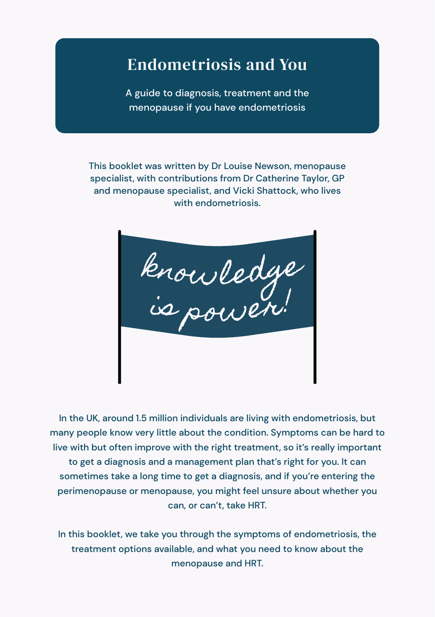# Endometriosis and You

A guide to diagnosis, treatment and the menopause if you have endometriosis

This booklet was written by Dr Louise Newson, menopause specialist, with contributions from Dr Catherine Taylor, GP and menopause specialist, and Vicki Shattock, who lives with endometriosis.

knowledge

In the UK, around 1.5 million individuals are living with endometriosis, but many people know very little about the condition. Symptoms can be hard to live with but often improve with the right treatment, so it's really important to get a diagnosis and a management plan that's right for you. It can sometimes take a long time to get a diagnosis, and if you're entering the perimenopause or menopause, you might feel unsure about whether you can, or can't, take HRT.

In this booklet, we take you through the symptoms of endometriosis, the treatment options available, and what you need to know about the menopause and HRT.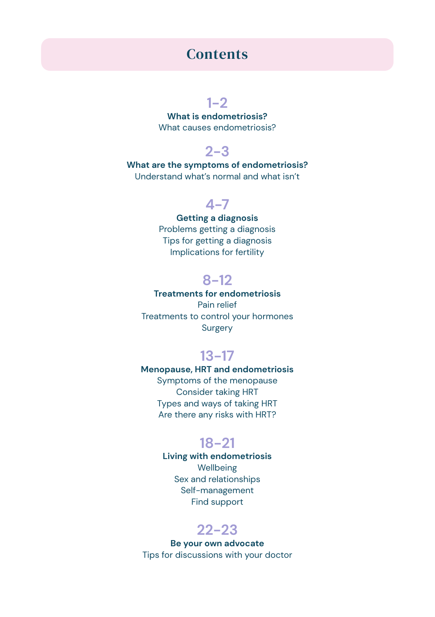### **Contents**

### **1-2**

**What is endometriosis?** What causes endometriosis?

### **2-3**

**What are the symptoms of endometriosis?**  Understand what's normal and what isn't

### **4-7**

### **Getting a diagnosis**  Problems getting a diagnosis

Tips for getting a diagnosis Implications for fertility

### **8-12**

### **Treatments for endometriosis** Pain relief Treatments to control your hormones Surgery

### **13-17**

### **Menopause, HRT and endometriosis**  Symptoms of the menopause Consider taking HRT Types and ways of taking HRT Are there any risks with HRT?

### **18-21**

**Living with endometriosis**  Wellbeing Sex and relationships Self-management Find support

### **22-23**

**Be your own advocate**  Tips for discussions with your doctor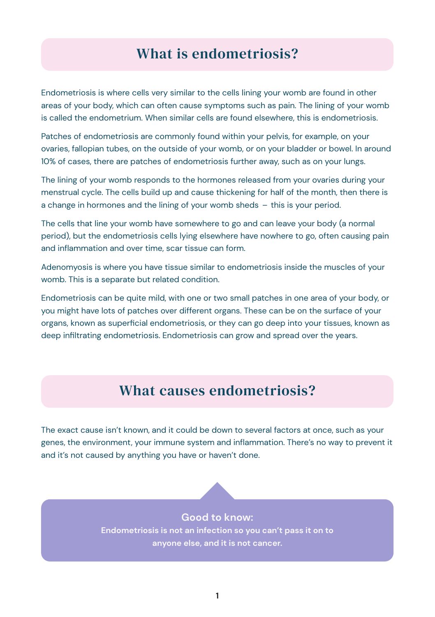### What is endometriosis?

Endometriosis is where cells very similar to the cells lining your womb are found in other areas of your body, which can often cause symptoms such as pain. The lining of your womb is called the endometrium. When similar cells are found elsewhere, this is endometriosis.

Patches of endometriosis are commonly found within your pelvis, for example, on your ovaries, fallopian tubes, on the outside of your womb, or on your bladder or bowel. In around 10% of cases, there are patches of endometriosis further away, such as on your lungs.

The lining of your womb responds to the hormones released from your ovaries during your menstrual cycle. The cells build up and cause thickening for half of the month, then there is a change in hormones and the lining of your womb sheds – this is your period.

The cells that line your womb have somewhere to go and can leave your body (a normal period), but the endometriosis cells lying elsewhere have nowhere to go, often causing pain and inflammation and over time, scar tissue can form.

Adenomyosis is where you have tissue similar to endometriosis inside the muscles of your womb. This is a separate but related condition.

Endometriosis can be quite mild, with one or two small patches in one area of your body, or you might have lots of patches over different organs. These can be on the surface of your organs, known as superficial endometriosis, or they can go deep into your tissues, known as deep infiltrating endometriosis. Endometriosis can grow and spread over the years.

### What causes endometriosis?

The exact cause isn't known, and it could be down to several factors at once, such as your genes, the environment, your immune system and inflammation. There's no way to prevent it and it's not caused by anything you have or haven't done.

### **Good to know:**

**Endometriosis is not an infection so you can't pass it on to anyone else, and it is not cancer.**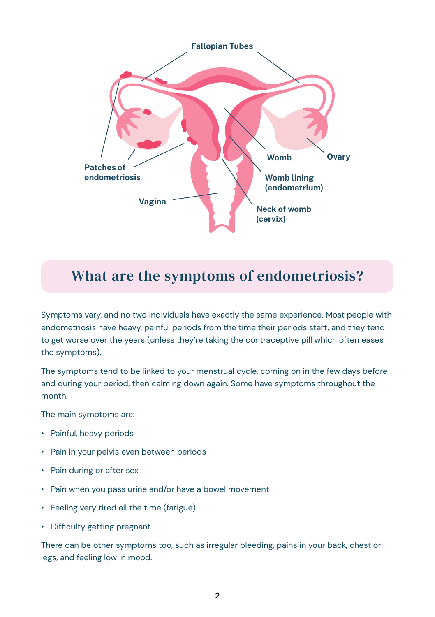

### What are the symptoms of endometriosis?

Symptoms vary, and no two individuals have exactly the same experience. Most people with endometriosis have heavy, painful periods from the time their periods start, and they tend to get worse over the years (unless they're taking the contraceptive pill which often eases the symptoms).

The symptoms tend to be linked to your menstrual cycle, coming on in the few days before and during your period, then calming down again. Some have symptoms throughout the month.

The main symptoms are:

- Painful, heavy periods
- Pain in your pelvis even between periods
- Pain during or after sex
- Pain when you pass urine and/or have a bowel movement
- Feeling very tired all the time (fatigue)
- Difficulty getting pregnant

There can be other symptoms too, such as irregular bleeding, pains in your back, chest or legs, and feeling low in mood.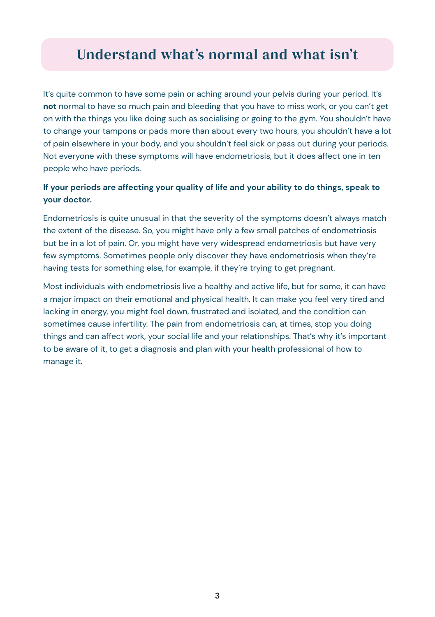### Understand what's normal and what isn't

It's quite common to have some pain or aching around your pelvis during your period. It's **not** normal to have so much pain and bleeding that you have to miss work, or you can't get on with the things you like doing such as socialising or going to the gym. You shouldn't have to change your tampons or pads more than about every two hours, you shouldn't have a lot of pain elsewhere in your body, and you shouldn't feel sick or pass out during your periods. Not everyone with these symptoms will have endometriosis, but it does affect one in ten people who have periods.

### **If your periods are affecting your quality of life and your ability to do things, speak to your doctor.**

Endometriosis is quite unusual in that the severity of the symptoms doesn't always match the extent of the disease. So, you might have only a few small patches of endometriosis but be in a lot of pain. Or, you might have very widespread endometriosis but have very few symptoms. Sometimes people only discover they have endometriosis when they're having tests for something else, for example, if they're trying to get pregnant.

Most individuals with endometriosis live a healthy and active life, but for some, it can have a major impact on their emotional and physical health. It can make you feel very tired and lacking in energy, you might feel down, frustrated and isolated, and the condition can sometimes cause infertility. The pain from endometriosis can, at times, stop you doing things and can affect work, your social life and your relationships. That's why it's important to be aware of it, to get a diagnosis and plan with your health professional of how to manage it.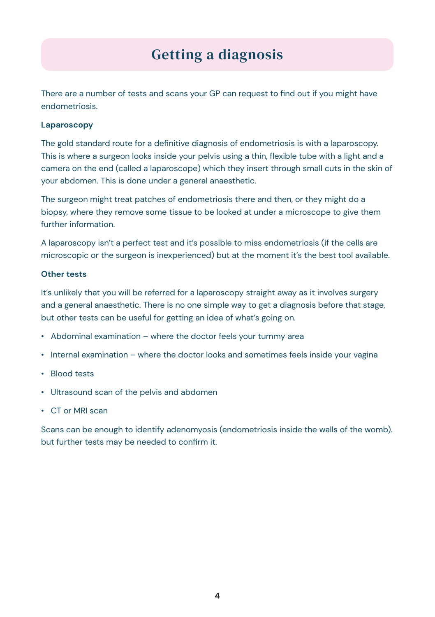# Getting a diagnosis

There are a number of tests and scans your GP can request to find out if you might have endometriosis.

#### **Laparoscopy**

The gold standard route for a definitive diagnosis of endometriosis is with a laparoscopy. This is where a surgeon looks inside your pelvis using a thin, flexible tube with a light and a camera on the end (called a laparoscope) which they insert through small cuts in the skin of your abdomen. This is done under a general anaesthetic.

The surgeon might treat patches of endometriosis there and then, or they might do a biopsy, where they remove some tissue to be looked at under a microscope to give them further information.

A laparoscopy isn't a perfect test and it's possible to miss endometriosis (if the cells are microscopic or the surgeon is inexperienced) but at the moment it's the best tool available.

#### **Other tests**

It's unlikely that you will be referred for a laparoscopy straight away as it involves surgery and a general anaesthetic. There is no one simple way to get a diagnosis before that stage, but other tests can be useful for getting an idea of what's going on.

- Abdominal examination where the doctor feels your tummy area
- Internal examination where the doctor looks and sometimes feels inside your vagina
- Blood tests
- Ultrasound scan of the pelvis and abdomen
- CT or MRI scan

Scans can be enough to identify adenomyosis (endometriosis inside the walls of the womb). but further tests may be needed to confirm it.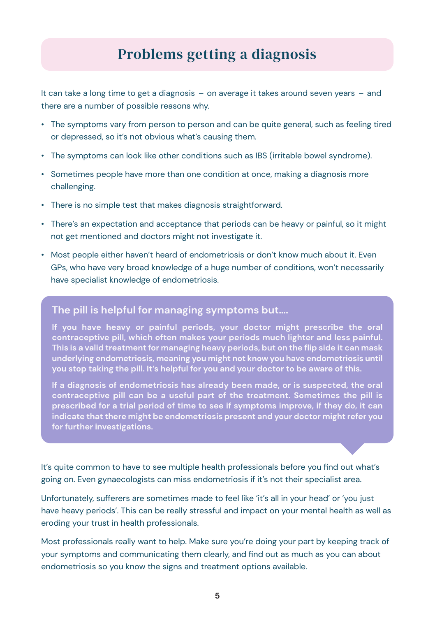### Problems getting a diagnosis

It can take a long time to get a diagnosis – on average it takes around seven years – and there are a number of possible reasons why.

- The symptoms vary from person to person and can be quite general, such as feeling tired or depressed, so it's not obvious what's causing them.
- The symptoms can look like other conditions such as IBS (irritable bowel syndrome).
- Sometimes people have more than one condition at once, making a diagnosis more challenging.
- There is no simple test that makes diagnosis straightforward.
- There's an expectation and acceptance that periods can be heavy or painful, so it might not get mentioned and doctors might not investigate it.
- Most people either haven't heard of endometriosis or don't know much about it. Even GPs, who have very broad knowledge of a huge number of conditions, won't necessarily have specialist knowledge of endometriosis.

### **The pill is helpful for managing symptoms but….**

**If you have heavy or painful periods, your doctor might prescribe the oral contraceptive pill, which often makes your periods much lighter and less painful. This is a valid treatment for managing heavy periods, but on the flip side it can mask underlying endometriosis, meaning you might not know you have endometriosis until you stop taking the pill. It's helpful for you and your doctor to be aware of this.**

**If a diagnosis of endometriosis has already been made, or is suspected, the oral contraceptive pill can be a useful part of the treatment. Sometimes the pill is prescribed for a trial period of time to see if symptoms improve, if they do, it can indicate that there might be endometriosis present and your doctor might refer you for further investigations.**

It's quite common to have to see multiple health professionals before you find out what's going on. Even gynaecologists can miss endometriosis if it's not their specialist area.

Unfortunately, sufferers are sometimes made to feel like 'it's all in your head' or 'you just have heavy periods'. This can be really stressful and impact on your mental health as well as eroding your trust in health professionals.

Most professionals really want to help. Make sure you're doing your part by keeping track of your symptoms and communicating them clearly, and find out as much as you can about endometriosis so you know the signs and treatment options available.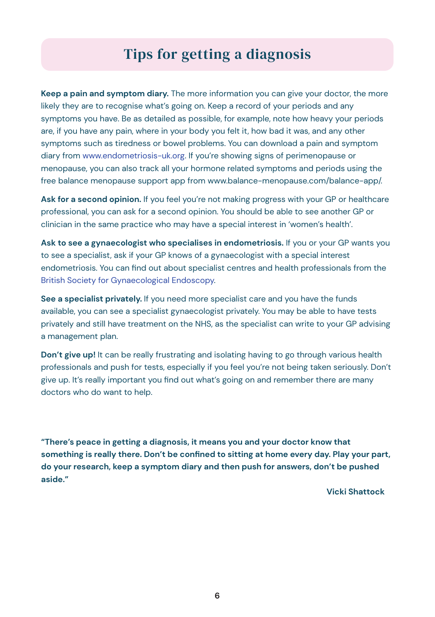## Tips for getting a diagnosis

**Keep a pain and symptom diary.** The more information you can give your doctor, the more likely they are to recognise what's going on. Keep a record of your periods and any symptoms you have. Be as detailed as possible, for example, note how heavy your periods are, if you have any pain, where in your body you felt it, how bad it was, and any other symptoms such as tiredness or bowel problems. You can download a pain and symptom diary from www.endometriosis-uk.org. If you're showing signs of perimenopause or menopause, you can also track all your hormone related symptoms and periods using the free balance menopause support app from www.balance-menopause.com/balance-app/.

Ask for a second opinion. If you feel you're not making progress with your GP or healthcare professional, you can ask for a second opinion. You should be able to see another GP or clinician in the same practice who may have a special interest in 'women's health'.

**Ask to see a gynaecologist who specialises in endometriosis.** If you or your GP wants you to see a specialist, ask if your GP knows of a gynaecologist with a special interest endometriosis. You can find out about specialist centres and health professionals from the British Society for Gynaecological Endoscopy.

**See a specialist privately.** If you need more specialist care and you have the funds available, you can see a specialist gynaecologist privately. You may be able to have tests privately and still have treatment on the NHS, as the specialist can write to your GP advising a management plan.

**Don't give up!** It can be really frustrating and isolating having to go through various health professionals and push for tests, especially if you feel you're not being taken seriously. Don't give up. It's really important you find out what's going on and remember there are many doctors who do want to help.

**"There's peace in getting a diagnosis, it means you and your doctor know that something is really there. Don't be confined to sitting at home every day. Play your part, do your research, keep a symptom diary and then push for answers, don't be pushed aside."** 

 **Vicki Shattock**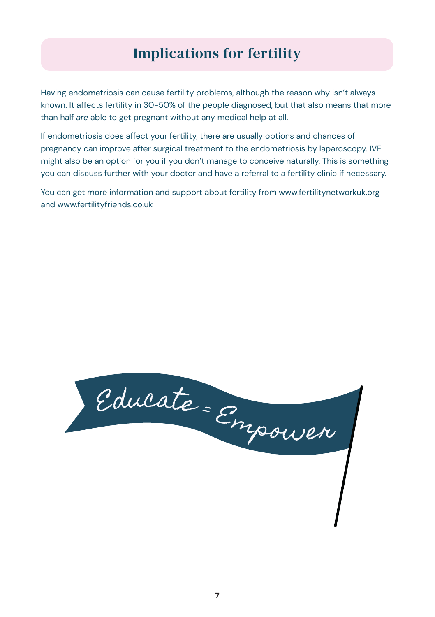# Implications for fertility

Having endometriosis can cause fertility problems, although the reason why isn't always known. It affects fertility in 30-50% of the people diagnosed, but that also means that more than half *are* able to get pregnant without any medical help at all.

If endometriosis does affect your fertility, there are usually options and chances of pregnancy can improve after surgical treatment to the endometriosis by laparoscopy. IVF might also be an option for you if you don't manage to conceive naturally. This is something you can discuss further with your doctor and have a referral to a fertility clinic if necessary.

You can get more information and support about fertility from www.fertilitynetworkuk.org and www.fertilityfriends.co.uk

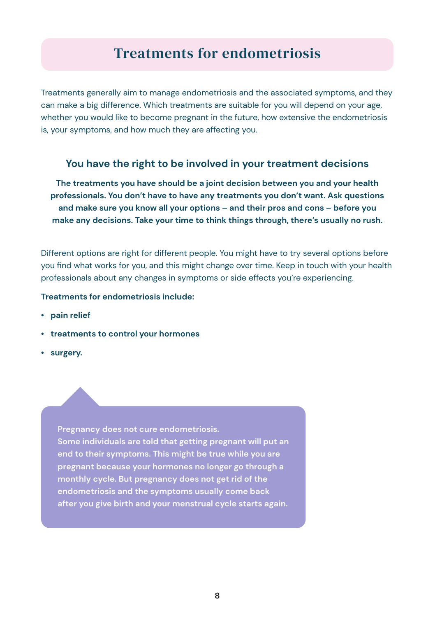### Treatments for endometriosis

Treatments generally aim to manage endometriosis and the associated symptoms, and they can make a big difference. Which treatments are suitable for you will depend on your age, whether you would like to become pregnant in the future, how extensive the endometriosis is, your symptoms, and how much they are affecting you.

### **You have the right to be involved in your treatment decisions**

**The treatments you have should be a joint decision between you and your health professionals. You don't have to have any treatments you don't want. Ask questions and make sure you know all your options – and their pros and cons – before you make any decisions. Take your time to think things through, there's usually no rush.** 

Different options are right for different people. You might have to try several options before you find what works for you, and this might change over time. Keep in touch with your health professionals about any changes in symptoms or side effects you're experiencing.

#### **Treatments for endometriosis include:**

- **pain relief**
- **treatments to control your hormones**
- **surgery.**

**Pregnancy does not cure endometriosis. Some individuals are told that getting pregnant will put an end to their symptoms. This might be true while you are pregnant because your hormones no longer go through a monthly cycle. But pregnancy does not get rid of the endometriosis and the symptoms usually come back after you give birth and your menstrual cycle starts again.**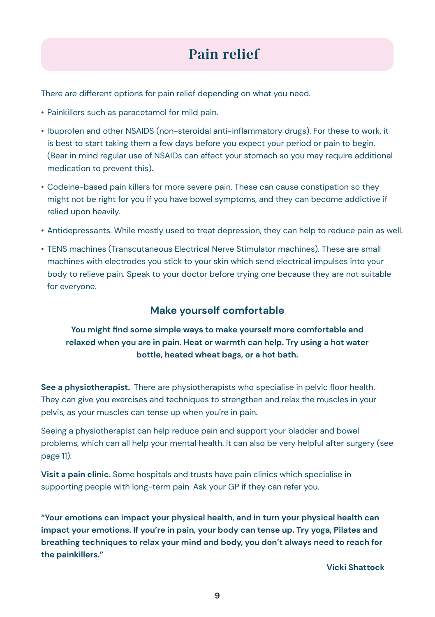# Pain relief

There are different options for pain relief depending on what you need.

- Painkillers such as paracetamol for mild pain.
- Ibuprofen and other NSAIDS (non-steroidal anti-inflammatory drugs). For these to work, it is best to start taking them a few days before you expect your period or pain to begin. (Bear in mind regular use of NSAIDs can affect your stomach so you may require additional medication to prevent this).
- Codeine-based pain killers for more severe pain. These can cause constipation so they might not be right for you if you have bowel symptoms, and they can become addictive if relied upon heavily.
- Antidepressants. While mostly used to treat depression, they can help to reduce pain as well.
- TENS machines (Transcutaneous Electrical Nerve Stimulator machines). These are small machines with electrodes you stick to your skin which send electrical impulses into your body to relieve pain. Speak to your doctor before trying one because they are not suitable for everyone.

### **Make yourself comfortable**

### **You might find some simple ways to make yourself more comfortable and relaxed when you are in pain. Heat or warmth can help. Try using a hot water bottle, heated wheat bags, or a hot bath.**

**See a physiotherapist.** There are physiotherapists who specialise in pelvic floor health. They can give you exercises and techniques to strengthen and relax the muscles in your pelvis, as your muscles can tense up when you're in pain.

Seeing a physiotherapist can help reduce pain and support your bladder and bowel problems, which can all help your mental health. It can also be very helpful after surgery (see page 11).

**Visit a pain clinic.** Some hospitals and trusts have pain clinics which specialise in supporting people with long-term pain. Ask your GP if they can refer you.

**"Your emotions can impact your physical health, and in turn your physical health can impact your emotions. If you're in pain, your body can tense up. Try yoga, Pilates and breathing techniques to relax your mind and body, you don't always need to reach for the painkillers."** 

 **Vicki Shattock**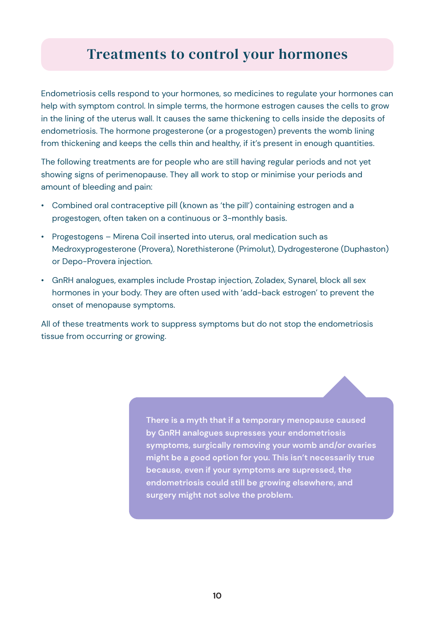### Treatments to control your hormones

Endometriosis cells respond to your hormones, so medicines to regulate your hormones can help with symptom control. In simple terms, the hormone estrogen causes the cells to grow in the lining of the uterus wall. It causes the same thickening to cells inside the deposits of endometriosis. The hormone progesterone (or a progestogen) prevents the womb lining from thickening and keeps the cells thin and healthy, if it's present in enough quantities.

The following treatments are for people who are still having regular periods and not yet showing signs of perimenopause. They all work to stop or minimise your periods and amount of bleeding and pain:

- Combined oral contraceptive pill (known as 'the pill') containing estrogen and a progestogen, often taken on a continuous or 3-monthly basis.
- Progestogens Mirena Coil inserted into uterus, oral medication such as Medroxyprogesterone (Provera), Norethisterone (Primolut), Dydrogesterone (Duphaston) or Depo-Provera injection.
- GnRH analogues, examples include Prostap injection, Zoladex, Synarel, block all sex hormones in your body. They are often used with 'add-back estrogen' to prevent the onset of menopause symptoms.

All of these treatments work to suppress symptoms but do not stop the endometriosis tissue from occurring or growing.

> **There is a myth that if a temporary menopause caused by GnRH analogues supresses your endometriosis symptoms, surgically removing your womb and/or ovaries might be a good option for you. This isn't necessarily true because, even if your symptoms are supressed, the endometriosis could still be growing elsewhere, and surgery might not solve the problem.**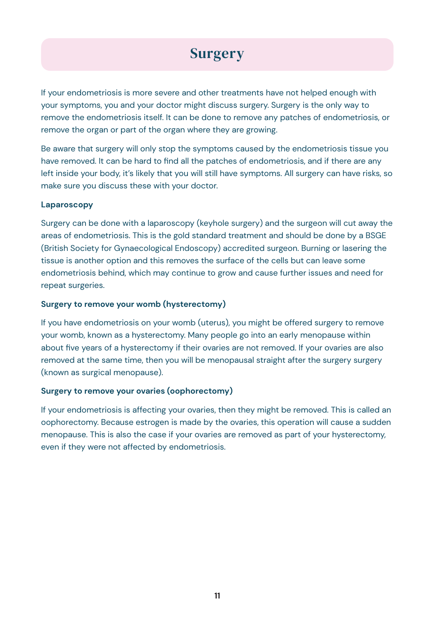# **Surgery**

If your endometriosis is more severe and other treatments have not helped enough with your symptoms, you and your doctor might discuss surgery. Surgery is the only way to remove the endometriosis itself. It can be done to remove any patches of endometriosis, or remove the organ or part of the organ where they are growing.

Be aware that surgery will only stop the symptoms caused by the endometriosis tissue you have removed. It can be hard to find all the patches of endometriosis, and if there are any left inside your body, it's likely that you will still have symptoms. All surgery can have risks, so make sure you discuss these with your doctor.

#### **Laparoscopy**

Surgery can be done with a laparoscopy (keyhole surgery) and the surgeon will cut away the areas of endometriosis. This is the gold standard treatment and should be done by a BSGE (British Society for Gynaecological Endoscopy) accredited surgeon. Burning or lasering the tissue is another option and this removes the surface of the cells but can leave some endometriosis behind, which may continue to grow and cause further issues and need for repeat surgeries.

#### **Surgery to remove your womb (hysterectomy)**

If you have endometriosis on your womb (uterus), you might be offered surgery to remove your womb, known as a hysterectomy. Many people go into an early menopause within about five years of a hysterectomy if their ovaries are not removed. If your ovaries are also removed at the same time, then you will be menopausal straight after the surgery surgery (known as surgical menopause).

#### **Surgery to remove your ovaries (oophorectomy)**

If your endometriosis is affecting your ovaries, then they might be removed. This is called an oophorectomy. Because estrogen is made by the ovaries, this operation will cause a sudden menopause. This is also the case if your ovaries are removed as part of your hysterectomy, even if they were not affected by endometriosis.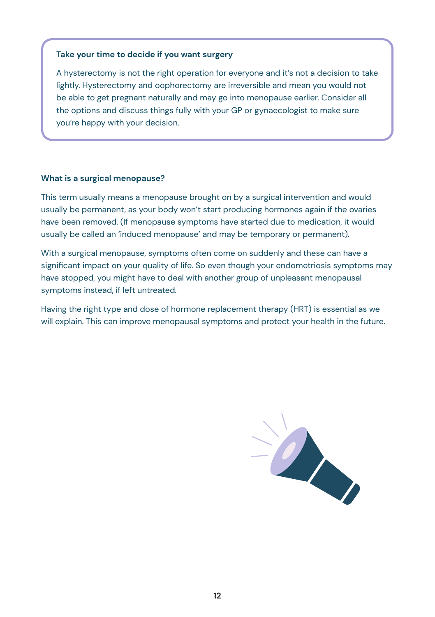#### **Take your time to decide if you want surgery**

A hysterectomy is not the right operation for everyone and it's not a decision to take lightly. Hysterectomy and oophorectomy are irreversible and mean you would not be able to get pregnant naturally and may go into menopause earlier. Consider all the options and discuss things fully with your GP or gynaecologist to make sure you're happy with your decision.

#### **What is a surgical menopause?**

This term usually means a menopause brought on by a surgical intervention and would usually be permanent, as your body won't start producing hormones again if the ovaries have been removed. (If menopause symptoms have started due to medication, it would usually be called an 'induced menopause' and may be temporary or permanent).

With a surgical menopause, symptoms often come on suddenly and these can have a significant impact on your quality of life. So even though your endometriosis symptoms may have stopped, you might have to deal with another group of unpleasant menopausal symptoms instead, if left untreated.

Having the right type and dose of hormone replacement therapy (HRT) is essential as we will explain. This can improve menopausal symptoms and protect your health in the future.

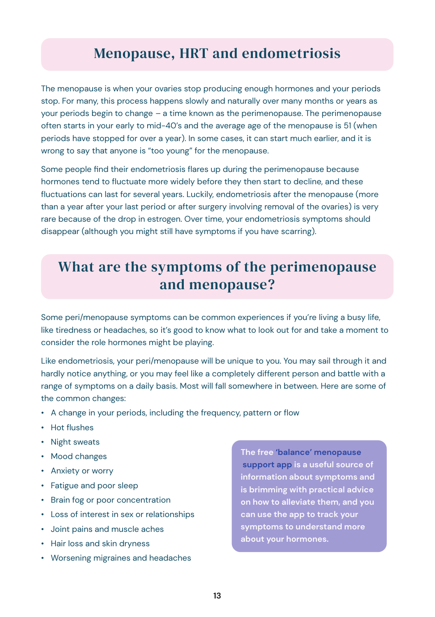### Menopause, HRT and endometriosis

The menopause is when your ovaries stop producing enough hormones and your periods stop. For many, this process happens slowly and naturally over many months or years as your periods begin to change – a time known as the perimenopause. The perimenopause often starts in your early to mid-40's and the average age of the menopause is 51 (when periods have stopped for over a year). In some cases, it can start much earlier, and it is wrong to say that anyone is "too young" for the menopause.

Some people find their endometriosis flares up during the perimenopause because hormones tend to fluctuate more widely before they then start to decline, and these fluctuations can last for several years. Luckily, endometriosis after the menopause (more than a year after your last period or after surgery involving removal of the ovaries) is very rare because of the drop in estrogen. Over time, your endometriosis symptoms should disappear (although you might still have symptoms if you have scarring).

### What are the symptoms of the perimenopause and menopause?

Some peri/menopause symptoms can be common experiences if you're living a busy life, like tiredness or headaches, so it's good to know what to look out for and take a moment to consider the role hormones might be playing.

Like endometriosis, your peri/menopause will be unique to you. You may sail through it and hardly notice anything, or you may feel like a completely different person and battle with a range of symptoms on a daily basis. Most will fall somewhere in between. Here are some of the common changes:

- A change in your periods, including the frequency, pattern or flow
- Hot flushes
- Night sweats
- Mood changes
- Anxiety or worry
- Fatigue and poor sleep
- Brain fog or poor concentration
- Loss of interest in sex or relationships
- Joint pains and muscle aches
- Hair loss and skin dryness
- Worsening migraines and headaches

**The free 'balance' menopause support app is a useful source of information about symptoms and is brimming with practical advice on how to alleviate them, and you can use the app to track your symptoms to understand more about your hormones.**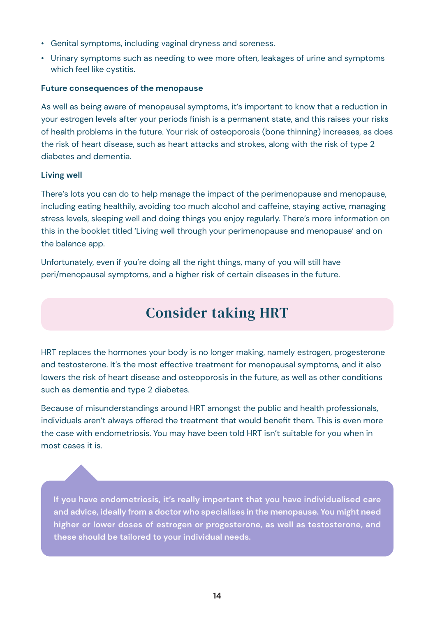- Genital symptoms, including vaginal dryness and soreness.
- Urinary symptoms such as needing to wee more often, leakages of urine and symptoms which feel like cystitis.

#### **Future consequences of the menopause**

As well as being aware of menopausal symptoms, it's important to know that a reduction in your estrogen levels after your periods finish is a permanent state, and this raises your risks of health problems in the future. Your risk of osteoporosis (bone thinning) increases, as does the risk of heart disease, such as heart attacks and strokes, along with the risk of type 2 diabetes and dementia.

#### **Living well**

There's lots you can do to help manage the impact of the perimenopause and menopause, including eating healthily, avoiding too much alcohol and caffeine, staying active, managing stress levels, sleeping well and doing things you enjoy regularly. There's more information on this in the booklet titled 'Living well through your perimenopause and menopause' and on the balance app.

Unfortunately, even if you're doing all the right things, many of you will still have peri/menopausal symptoms, and a higher risk of certain diseases in the future.

# Consider taking HRT

HRT replaces the hormones your body is no longer making, namely estrogen, progesterone and testosterone. It's the most effective treatment for menopausal symptoms, and it also lowers the risk of heart disease and osteoporosis in the future, as well as other conditions such as dementia and type 2 diabetes.

Because of misunderstandings around HRT amongst the public and health professionals, individuals aren't always offered the treatment that would benefit them. This is even more the case with endometriosis. You may have been told HRT isn't suitable for you when in most cases it is.

**If you have endometriosis, it's really important that you have individualised care and advice, ideally from a doctor who specialises in the menopause. You might need higher or lower doses of estrogen or progesterone, as well as testosterone, and these should be tailored to your individual needs.**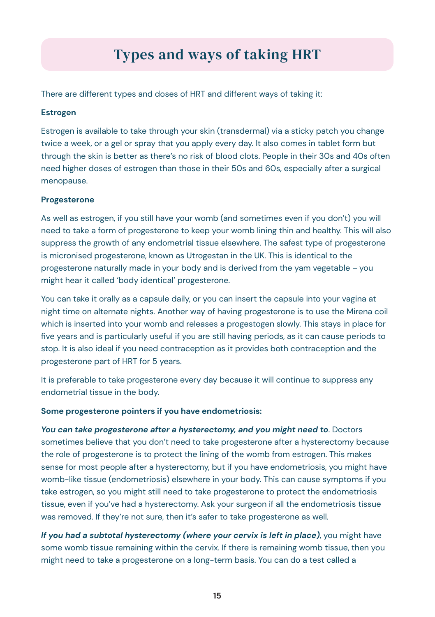# Types and ways of taking HRT

There are different types and doses of HRT and different ways of taking it:

#### **Estrogen**

Estrogen is available to take through your skin (transdermal) via a sticky patch you change twice a week, or a gel or spray that you apply every day. It also comes in tablet form but through the skin is better as there's no risk of blood clots. People in their 30s and 40s often need higher doses of estrogen than those in their 50s and 60s, especially after a surgical menopause.

#### **Progesterone**

As well as estrogen, if you still have your womb (and sometimes even if you don't) you will need to take a form of progesterone to keep your womb lining thin and healthy. This will also suppress the growth of any endometrial tissue elsewhere. The safest type of progesterone is micronised progesterone, known as Utrogestan in the UK. This is identical to the progesterone naturally made in your body and is derived from the yam vegetable – you might hear it called 'body identical' progesterone.

You can take it orally as a capsule daily, or you can insert the capsule into your vagina at night time on alternate nights. Another way of having progesterone is to use the Mirena coil which is inserted into your womb and releases a progestogen slowly. This stays in place for five years and is particularly useful if you are still having periods, as it can cause periods to stop. It is also ideal if you need contraception as it provides both contraception and the progesterone part of HRT for 5 years.

It is preferable to take progesterone every day because it will continue to suppress any endometrial tissue in the body.

#### **Some progesterone pointers if you have endometriosis:**

*You can take progesterone after a hysterectomy, and you might need to*. Doctors sometimes believe that you don't need to take progesterone after a hysterectomy because the role of progesterone is to protect the lining of the womb from estrogen. This makes sense for most people after a hysterectomy, but if you have endometriosis, you might have womb-like tissue (endometriosis) elsewhere in your body. This can cause symptoms if you take estrogen, so you might still need to take progesterone to protect the endometriosis tissue, even if you've had a hysterectomy. Ask your surgeon if all the endometriosis tissue was removed. If they're not sure, then it's safer to take progesterone as well.

*If you had a subtotal hysterectomy (where your cervix is left in place)*, you might have some womb tissue remaining within the cervix. If there is remaining womb tissue, then you might need to take a progesterone on a long-term basis. You can do a test called a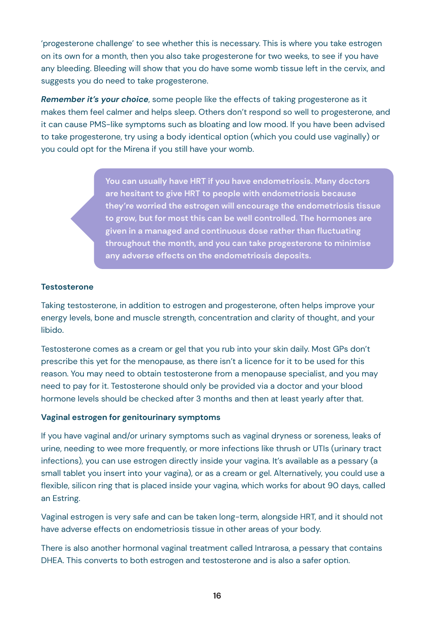'progesterone challenge' to see whether this is necessary. This is where you take estrogen on its own for a month, then you also take progesterone for two weeks, to see if you have any bleeding. Bleeding will show that you do have some womb tissue left in the cervix, and suggests you do need to take progesterone.

*Remember it's your choice*, some people like the effects of taking progesterone as it makes them feel calmer and helps sleep. Others don't respond so well to progesterone, and it can cause PMS-like symptoms such as bloating and low mood. If you have been advised to take progesterone, try using a body identical option (which you could use vaginally) or you could opt for the Mirena if you still have your womb.

> **You can usually have HRT if you have endometriosis. Many doctors are hesitant to give HRT to people with endometriosis because they're worried the estrogen will encourage the endometriosis tissue to grow, but for most this can be well controlled. The hormones are given in a managed and continuous dose rather than fluctuating throughout the month, and you can take progesterone to minimise any adverse effects on the endometriosis deposits.**

#### **Testosterone**

Taking testosterone, in addition to estrogen and progesterone, often helps improve your energy levels, bone and muscle strength, concentration and clarity of thought, and your libido.

Testosterone comes as a cream or gel that you rub into your skin daily. Most GPs don't prescribe this yet for the menopause, as there isn't a licence for it to be used for this reason. You may need to obtain testosterone from a menopause specialist, and you may need to pay for it. Testosterone should only be provided via a doctor and your blood hormone levels should be checked after 3 months and then at least yearly after that.

#### **Vaginal estrogen for genitourinary symptoms**

If you have vaginal and/or urinary symptoms such as vaginal dryness or soreness, leaks of urine, needing to wee more frequently, or more infections like thrush or UTIs (urinary tract infections), you can use estrogen directly inside your vagina. It's available as a pessary (a small tablet you insert into your vagina), or as a cream or gel. Alternatively, you could use a flexible, silicon ring that is placed inside your vagina, which works for about 90 days, called an Estring.

Vaginal estrogen is very safe and can be taken long-term, alongside HRT, and it should not have adverse effects on endometriosis tissue in other areas of your body.

There is also another hormonal vaginal treatment called Intrarosa, a pessary that contains DHEA. This converts to both estrogen and testosterone and is also a safer option.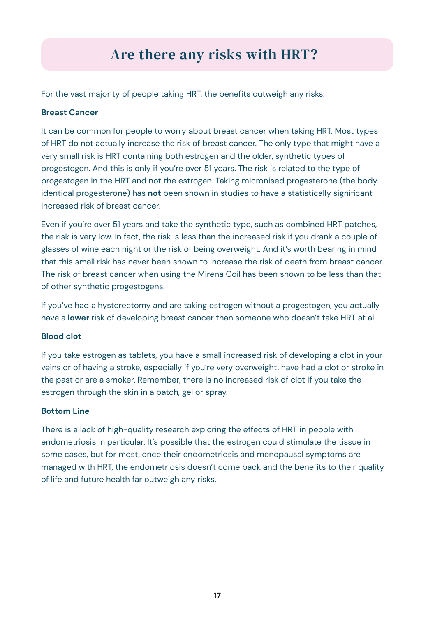# Are there any risks with HRT?

For the vast majority of people taking HRT, the benefits outweigh any risks.

#### **Breast Cancer**

It can be common for people to worry about breast cancer when taking HRT. Most types of HRT do not actually increase the risk of breast cancer. The only type that might have a very small risk is HRT containing both estrogen and the older, synthetic types of progestogen. And this is only if you're over 51 years. The risk is related to the type of progestogen in the HRT and not the estrogen. Taking micronised progesterone (the body identical progesterone) has **not** been shown in studies to have a statistically significant increased risk of breast cancer.

Even if you're over 51 years and take the synthetic type, such as combined HRT patches, the risk is very low. In fact, the risk is less than the increased risk if you drank a couple of glasses of wine each night or the risk of being overweight. And it's worth bearing in mind that this small risk has never been shown to increase the risk of death from breast cancer. The risk of breast cancer when using the Mirena Coil has been shown to be less than that of other synthetic progestogens.

If you've had a hysterectomy and are taking estrogen without a progestogen, you actually have a **lower** risk of developing breast cancer than someone who doesn't take HRT at all.

#### **Blood clot**

If you take estrogen as tablets, you have a small increased risk of developing a clot in your veins or of having a stroke, especially if you're very overweight, have had a clot or stroke in the past or are a smoker. Remember, there is no increased risk of clot if you take the estrogen through the skin in a patch, gel or spray.

#### **Bottom Line**

There is a lack of high-quality research exploring the effects of HRT in people with endometriosis in particular. It's possible that the estrogen could stimulate the tissue in some cases, but for most, once their endometriosis and menopausal symptoms are managed with HRT, the endometriosis doesn't come back and the benefits to their quality of life and future health far outweigh any risks.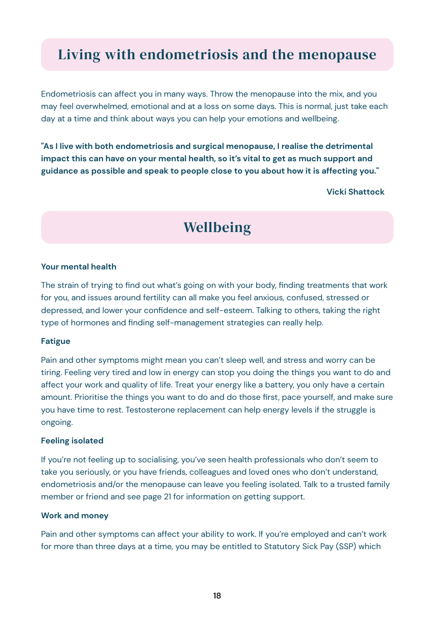### Living with endometriosis and the menopause

Endometriosis can affect you in many ways. Throw the menopause into the mix, and you may feel overwhelmed, emotional and at a loss on some days. This is normal, just take each day at a time and think about ways you can help your emotions and wellbeing.

**"As I live with both endometriosis and surgical menopause, I realise the detrimental impact this can have on your mental health, so it's vital to get as much support and guidance as possible and speak to people close to you about how it is affecting you."**

المستخدم المستخدم المستخدم المستخدم المستخدم المستخدم المستخدم المستخدم المستخدم المستخدم المستخدم المستخدم ال<br>والمستخدم المستخدم المستخدم المستخدم المستخدم المستخدم المستخدم المستخدم المستخدم المستخدم المستخدم المستخدم

### **Wellbeing**

#### **Your mental health**

The strain of trying to find out what's going on with your body, finding treatments that work for you, and issues around fertility can all make you feel anxious, confused, stressed or depressed, and lower your confidence and self-esteem. Talking to others, taking the right type of hormones and finding self-management strategies can really help.

#### **Fatigue**

Pain and other symptoms might mean you can't sleep well, and stress and worry can be tiring. Feeling very tired and low in energy can stop you doing the things you want to do and affect your work and quality of life. Treat your energy like a battery, you only have a certain amount. Prioritise the things you want to do and do those first, pace yourself, and make sure you have time to rest. Testosterone replacement can help energy levels if the struggle is ongoing.

#### **Feeling isolated**

If you're not feeling up to socialising, you've seen health professionals who don't seem to take you seriously, or you have friends, colleagues and loved ones who don't understand, endometriosis and/or the menopause can leave you feeling isolated. Talk to a trusted family member or friend and see page 21 for information on getting support.

#### **Work and money**

Pain and other symptoms can affect your ability to work. If you're employed and can't work for more than three days at a time, you may be entitled to Statutory Sick Pay (SSP) which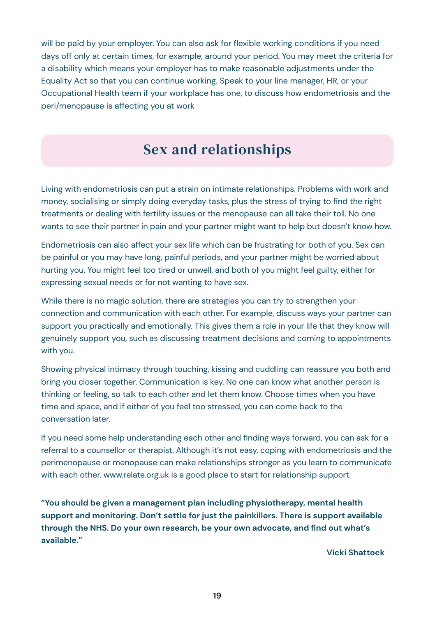will be paid by your employer. You can also ask for flexible working conditions if you need days off only at certain times, for example, around your period. You may meet the criteria for a disability which means your employer has to make reasonable adjustments under the Equality Act so that you can continue working. Speak to your line manager, HR, or your Occupational Health team if your workplace has one, to discuss how endometriosis and the peri/menopause is affecting you at work

### Sex and relationships

Living with endometriosis can put a strain on intimate relationships. Problems with work and money, socialising or simply doing everyday tasks, plus the stress of trying to find the right treatments or dealing with fertility issues or the menopause can all take their toll. No one wants to see their partner in pain and your partner might want to help but doesn't know how.

Endometriosis can also affect your sex life which can be frustrating for both of you. Sex can be painful or you may have long, painful periods, and your partner might be worried about hurting you. You might feel too tired or unwell, and both of you might feel guilty, either for expressing sexual needs or for not wanting to have sex.

While there is no magic solution, there are strategies you can try to strengthen your connection and communication with each other. For example, discuss ways your partner can support you practically and emotionally. This gives them a role in your life that they know will genuinely support you, such as discussing treatment decisions and coming to appointments with you.

Showing physical intimacy through touching, kissing and cuddling can reassure you both and bring you closer together. Communication is key. No one can know what another person is thinking or feeling, so talk to each other and let them know. Choose times when you have time and space, and if either of you feel too stressed, you can come back to the conversation later.

If you need some help understanding each other and finding ways forward, you can ask for a referral to a counsellor or therapist. Although it's not easy, coping with endometriosis and the perimenopause or menopause can make relationships stronger as you learn to communicate with each other. www.relate.org.uk is a good place to start for relationship support.

**"You should be given a management plan including physiotherapy, mental health support and monitoring. Don't settle for just the painkillers. There is support available through the NHS. Do your own research, be your own advocate, and find out what's available."** 

 **Vicki Shattock**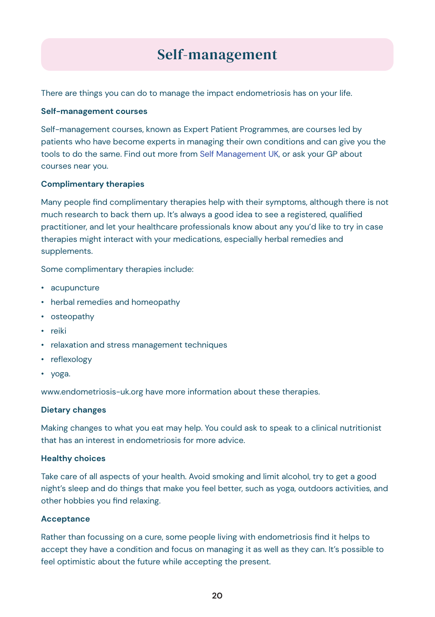## Self-management

There are things you can do to manage the impact endometriosis has on your life.

#### **Self-management courses**

Self-management courses, known as Expert Patient Programmes, are courses led by patients who have become experts in managing their own conditions and can give you the tools to do the same. Find out more from Self Management UK, or ask your GP about courses near you.

#### **Complimentary therapies**

Many people find complimentary therapies help with their symptoms, although there is not much research to back them up. It's always a good idea to see a registered, qualified practitioner, and let your healthcare professionals know about any you'd like to try in case therapies might interact with your medications, especially herbal remedies and supplements.

Some complimentary therapies include:

- acupuncture
- herbal remedies and homeopathy
- osteopathy
- reiki
- relaxation and stress management techniques
- reflexology
- yoga.

www.endometriosis-uk.org have more information about these therapies.

### **Dietary changes**

Making changes to what you eat may help. You could ask to speak to a clinical nutritionist that has an interest in endometriosis for more advice.

### **Healthy choices**

Take care of all aspects of your health. Avoid smoking and limit alcohol, try to get a good night's sleep and do things that make you feel better, such as yoga, outdoors activities, and other hobbies you find relaxing.

### **Acceptance**

Rather than focussing on a cure, some people living with endometriosis find it helps to accept they have a condition and focus on managing it as well as they can. It's possible to feel optimistic about the future while accepting the present.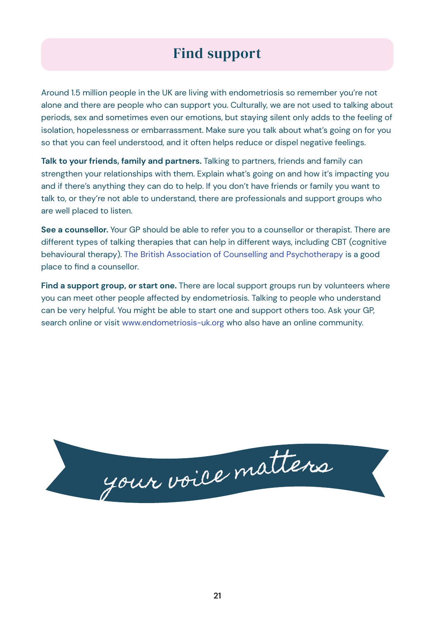### Find support

Around 1.5 million people in the UK are living with endometriosis so remember you're not alone and there are people who can support you. Culturally, we are not used to talking about periods, sex and sometimes even our emotions, but staying silent only adds to the feeling of isolation, hopelessness or embarrassment. Make sure you talk about what's going on for you so that you can feel understood, and it often helps reduce or dispel negative feelings.

**Talk to your friends, family and partners.** Talking to partners, friends and family can strengthen your relationships with them. Explain what's going on and how it's impacting you and if there's anything they can do to help. If you don't have friends or family you want to talk to, or they're not able to understand, there are professionals and support groups who are well placed to listen.

**See a counsellor.** Your GP should be able to refer you to a counsellor or therapist. There are different types of talking therapies that can help in different ways, including CBT (cognitive behavioural therapy). The British Association of Counselling and Psychotherapy is a good place to find a counsellor.

Find a support group, or start one. There are local support groups run by volunteers where you can meet other people affected by endometriosis. Talking to people who understand can be very helpful. You might be able to start one and support others too. Ask your GP, search online or visit www.endometriosis-uk.org who also have an online community.

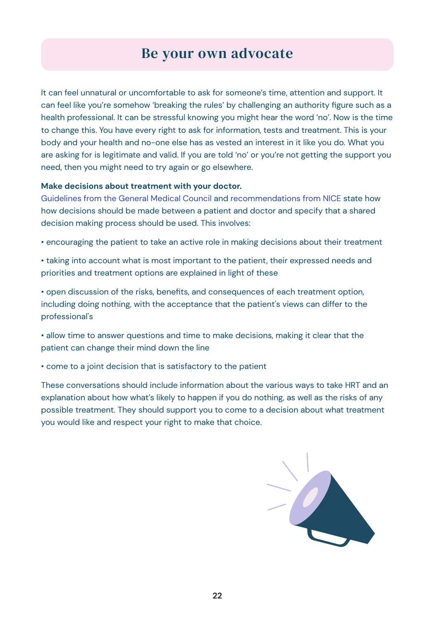### Be your own advocate

It can feel unnatural or uncomfortable to ask for someone's time, attention and support. It can feel like you're somehow 'breaking the rules' by challenging an authority figure such as a health professional. It can be stressful knowing you might hear the word 'no'. Now is the time to change this. You have every right to ask for information, tests and treatment. This is your body and your health and no-one else has as vested an interest in it like you do. What you are asking for is legitimate and valid. If you are told 'no' or you're not getting the support you need, then you might need to try again or go elsewhere.

#### **Make decisions about treatment with your doctor.**

Guidelines from the General Medical Council and recommendations from NICE state how how decisions should be made between a patient and doctor and specify that a shared decision making process should be used. This involves:

• encouraging the patient to take an active role in making decisions about their treatment

• taking into account what is most important to the patient, their expressed needs and priorities and treatment options are explained in light of these

• open discussion of the risks, benefits, and consequences of each treatment option, including doing nothing, with the acceptance that the patient's views can differ to the professional's

• allow time to answer questions and time to make decisions, making it clear that the patient can change their mind down the line

• come to a joint decision that is satisfactory to the patient

These conversations should include information about the various ways to take HRT and an explanation about how what's likely to happen if you do nothing, as well as the risks of any possible treatment. They should support you to come to a decision about what treatment you would like and respect your right to make that choice.

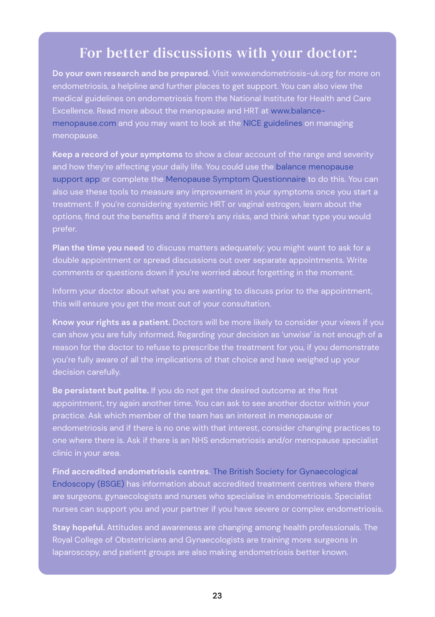### For better discussions with your doctor:

**Do your own research and be prepared.** Visit www.endometriosis-uk.org for more on medical guidelines on endometriosis from the National Institute for Health and Care Excellence. Read more about the menopause and HRT at www.balancemenopause.com and you may want to look at the NICE guidelines on managing

**Keep a record of your symptoms** to show a clear account of the range and severity and how they're affecting your daily life. You could use the balance menopause support app or complete the Menopause Symptom Questionnaire to do this. You can treatment. If you're considering systemic HRT or vaginal estrogen, learn about the

**Plan the time you need** to discuss matters adequately; you might want to ask for a double appointment or spread discussions out over separate appointments. Write comments or questions down if you're worried about forgetting in the moment.

Inform your doctor about what you are wanting to discuss prior to the appointment, this will ensure you get the most out of your consultation.

**Know your rights as a patient.** Doctors will be more likely to consider your views if you can show you are fully informed. Regarding your decision as 'unwise' is not enough of a you're fully aware of all the implications of that choice and have weighed up your

**Be persistent but polite.** If you do not get the desired outcome at the first endometriosis and if there is no one with that interest, consider changing practices to

**Find accredited endometriosis centres.** The British Society for Gynaecological Endoscopy (BSGE) has information about accredited treatment centres where there are surgeons, gynaecologists and nurses who specialise in endometriosis. Specialist nurses can support you and your partner if you have severe or complex endometriosis.

**Stay hopeful.** Attitudes and awareness are changing among health professionals. The Royal College of Obstetricians and Gynaecologists are training more surgeons in laparoscopy, and patient groups are also making endometriosis better known.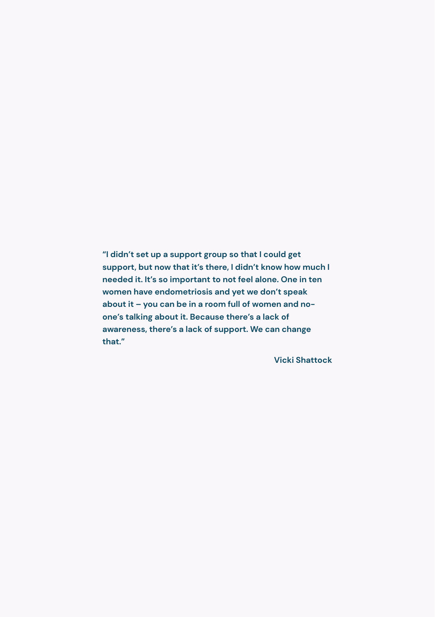**"I didn't set up a support group so that I could get support, but now that it's there, I didn't know how much I needed it. It's so important to not feel alone. One in ten women have endometriosis and yet we don't speak about it – you can be in a room full of women and noone's talking about it. Because there's a lack of awareness, there's a lack of support. We can change that."**

**Vicki Shattock**